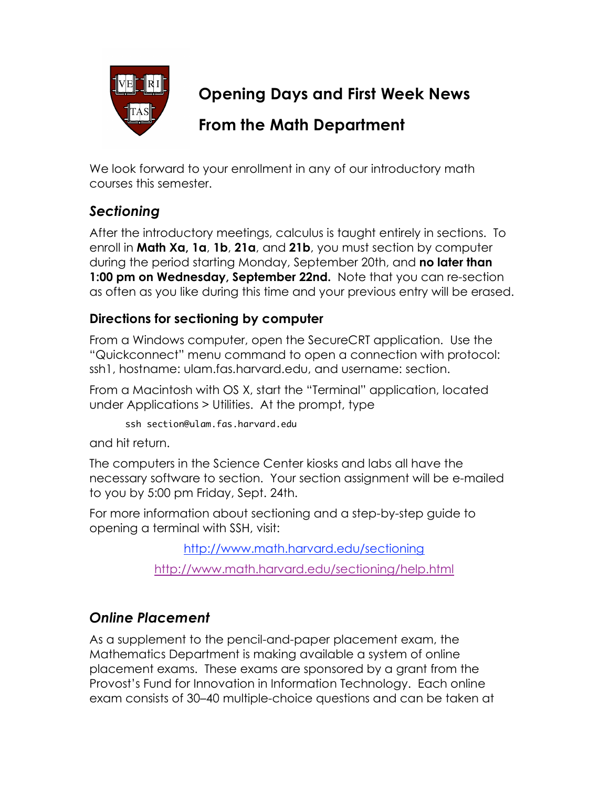

**Opening Days and First Week News**

# **From the Math Department**

We look forward to your enrollment in any of our introductory math courses this semester.

## *Sectioning*

After the introductory meetings, calculus is taught entirely in sections. To enroll in **Math Xa, 1a**, **1b**, **21a**, and **21b**, you must section by computer during the period starting Monday, September 20th, and **no later than 1:00 pm on Wednesday, September 22nd.** Note that you can re-section as often as you like during this time and your previous entry will be erased.

### **Directions for sectioning by computer**

From a Windows computer, open the SecureCRT application. Use the "Quickconnect" menu command to open a connection with protocol: ssh1, hostname: ulam.fas.harvard.edu, and username: section.

From a Macintosh with OS X, start the "Terminal" application, located under Applications > Utilities. At the prompt, type

```
ssh section@ulam.fas.harvard.edu
```
and hit return.

The computers in the Science Center kiosks and labs all have the necessary software to section. Your section assignment will be e-mailed to you by 5:00 pm Friday, Sept. 24th.

For more information about sectioning and a step-by-step guide to opening a terminal with SSH, visit:

http://www.math.harvard.edu/sectioning

http://www.math.harvard.edu/sectioning/help.html

### *Online Placement*

As a supplement to the pencil-and-paper placement exam, the Mathematics Department is making available a system of online placement exams. These exams are sponsored by a grant from the Provost's Fund for Innovation in Information Technology. Each online exam consists of 30–40 multiple-choice questions and can be taken at